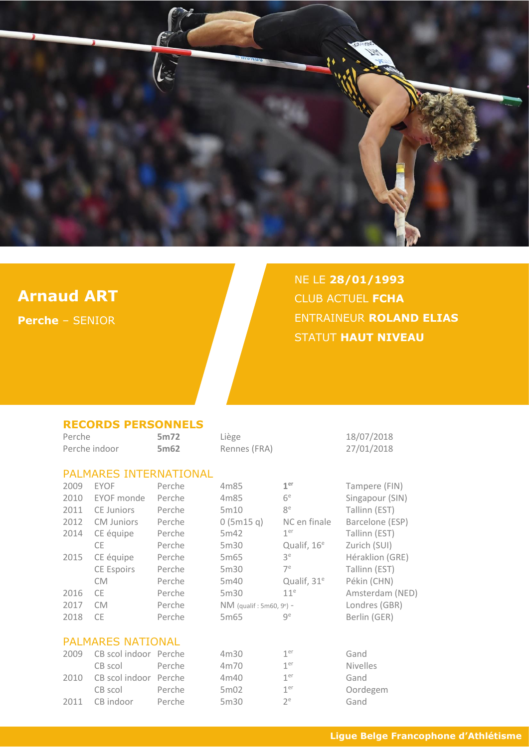

## **Arnaud ART**

**Perche** – SENIOR

# NE LE **28/01/1993** CLUB ACTUEL **FCHA** ENTRAINEUR **ROLAND ELIAS** STATUT **HAUT NIVEAU**

#### **RECORDS PERSONNELS**

| Perche |                               | 5m72   | Liège                                  |                         | 18/07/2018      |
|--------|-------------------------------|--------|----------------------------------------|-------------------------|-----------------|
|        | Perche indoor                 | 5m62   | Rennes (FRA)                           |                         | 27/01/2018      |
|        | <b>PALMARES INTERNATIONAL</b> |        |                                        |                         |                 |
| 2009   | <b>EYOF</b>                   | Perche | 4m85                                   | 1 <sup>er</sup>         | Tampere (FIN)   |
| 2010   | EYOF monde                    | Perche | 4m85                                   | 6 <sup>e</sup>          | Singapour (SIN) |
| 2011   | CE Juniors                    | Perche | 5m10                                   | 8 <sup>e</sup>          | Tallinn (EST)   |
| 2012   | <b>CM Juniors</b>             | Perche | 0(5m15q)                               | NC en finale            | Barcelone (ESP) |
| 2014   | CE équipe                     | Perche | 5m42                                   | 1 <sup>er</sup>         | Tallinn (EST)   |
|        | CE.                           | Perche | 5m30                                   | Qualif, 16 <sup>e</sup> | Zurich (SUI)    |
| 2015   | CE équipe                     | Perche | 5m65                                   | 3 <sup>e</sup>          | Héraklion (GRE) |
|        | CE Espoirs                    | Perche | 5m30                                   | 7 <sup>e</sup>          | Tallinn (EST)   |
|        | <b>CM</b>                     | Perche | 5m40                                   | Qualif, 31 <sup>e</sup> | Pékin (CHN)     |
| 2016   | <b>CE</b>                     | Perche | 5m30                                   | 11 <sup>e</sup>         | Amsterdam (NED) |
| 2017   | <b>CM</b>                     | Perche | $NM$ (qualif: 5m60, 9 <sup>e</sup> ) - |                         | Londres (GBR)   |
| 2018   | <b>CE</b>                     | Perche | 5m65                                   | 9 <sup>e</sup>          | Berlin (GER)    |
|        | <b>PALMARES NATIONAL</b>      |        |                                        |                         |                 |
| 2009   | CB scol indoor Perche         |        | 4m30                                   | 1 <sup>er</sup>         | Gand            |
|        | CB scol                       | Perche | 4m70                                   | 1 <sup>er</sup>         | <b>Nivelles</b> |
| 2010   | CB scol indoor                | Perche | 4m40                                   | 1 <sup>er</sup>         | Gand            |
|        | CB scol                       | Perche | 5m02                                   | 1 <sup>er</sup>         | Oordegem        |
| 2011   | CB indoor                     | Perche | 5m30                                   | $2^e$                   | Gand            |
|        |                               |        |                                        |                         |                 |

|  | Ligue Belge Francophone d'Athlétisme |  |  |
|--|--------------------------------------|--|--|
|  |                                      |  |  |